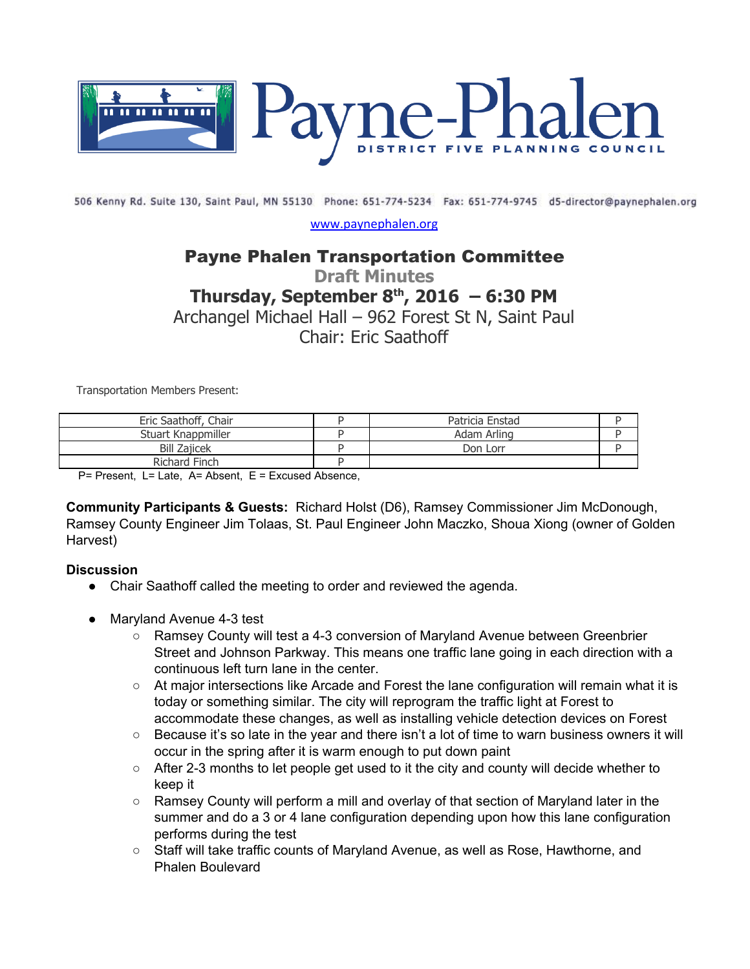

506 Kenny Rd. Suite 130, Saint Paul, MN 55130 Phone: 651-774-5234 Fax: 651-774-9745 d5-director@paynephalen.org

[www.paynephalen.org](http://www.paynephalen.org/)

## Payne Phalen Transportation Committee

# **Draft Minutes**

# **Thursday, September 8 th , 2016 – 6:30 PM**

Archangel Michael Hall – 962 Forest St N, Saint Paul

Chair: Eric Saathoff

Transportation Members Present:

| Eric Saathoff, Chair | Patricia Enstad |  |
|----------------------|-----------------|--|
| Stuart Knappmiller   | Adam Arling     |  |
| <b>Bill Zajicek</b>  | Don Lorr        |  |
| Richard Finch        |                 |  |

P= Present, L= Late, A= Absent, E = Excused Absence,

**Community Participants & Guests:** Richard Holst (D6), Ramsey Commissioner Jim McDonough, Ramsey County Engineer Jim Tolaas, St. Paul Engineer John Maczko, Shoua Xiong (owner of Golden Harvest)

#### **Discussion**

- Chair Saathoff called the meeting to order and reviewed the agenda.
- Maryland Avenue 4-3 test
	- Ramsey County will test a 4-3 conversion of Maryland Avenue between Greenbrier Street and Johnson Parkway. This means one traffic lane going in each direction with a continuous left turn lane in the center.
	- At major intersections like Arcade and Forest the lane configuration will remain what it is today or something similar. The city will reprogram the traffic light at Forest to accommodate these changes, as well as installing vehicle detection devices on Forest
	- Because it's so late in the year and there isn't a lot of time to warn business owners it will occur in the spring after it is warm enough to put down paint
	- After 2-3 months to let people get used to it the city and county will decide whether to keep it
	- Ramsey County will perform a mill and overlay of that section of Maryland later in the summer and do a 3 or 4 lane configuration depending upon how this lane configuration performs during the test
	- Staff will take traffic counts of Maryland Avenue, as well as Rose, Hawthorne, and Phalen Boulevard